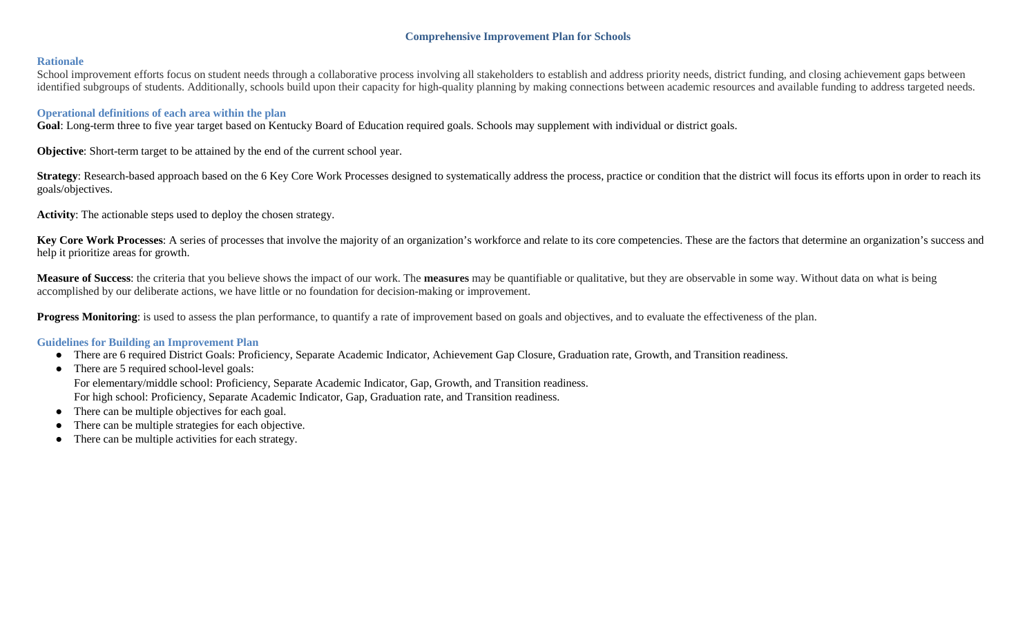## **Comprehensive Improvement Plan for Schools**

#### **Rationale**

School improvement efforts focus on student needs through a collaborative process involving all stakeholders to establish and address priority needs, district funding, and closing achievement gaps between identified subgroups of students. Additionally, schools build upon their capacity for high-quality planning by making connections between academic resources and available funding to address targeted needs.

## **Operational definitions of each area within the plan**

**Goal**: Long-term three to five year target based on Kentucky Board of Education required goals. Schools may supplement with individual or district goals.

**Objective**: Short-term target to be attained by the end of the current school year.

**Strategy**: Research-based approach based on the 6 Key Core Work Processes designed to systematically address the process, practice or condition that the district will focus its efforts upon in order to reach its goals/objectives.

**Activity**: The actionable steps used to deploy the chosen strategy.

**Key Core Work Processes**: A series of processes that involve the majority of an organization's workforce and relate to its core competencies. These are the factors that determine an organization's success and help it prioritize areas for growth.

**Measure of Success**: the criteria that you believe shows the impact of our work. The **measures** may be quantifiable or qualitative, but they are observable in some way. Without data on what is being accomplished by our deliberate actions, we have little or no foundation for decision-making or improvement.

**Progress Monitoring**: is used to assess the plan performance, to quantify a rate of improvement based on goals and objectives, and to evaluate the effectiveness of the plan.

#### **Guidelines for Building an Improvement Plan**

- There are 6 required District Goals: Proficiency, Separate Academic Indicator, Achievement Gap Closure, Graduation rate, Growth, and Transition readiness.
- There are 5 required school-level goals: For elementary/middle school: Proficiency, Separate Academic Indicator, Gap, Growth, and Transition readiness. For high school: Proficiency, Separate Academic Indicator, Gap, Graduation rate, and Transition readiness.
- There can be multiple objectives for each goal.
- There can be multiple strategies for each objective.
- There can be multiple activities for each strategy.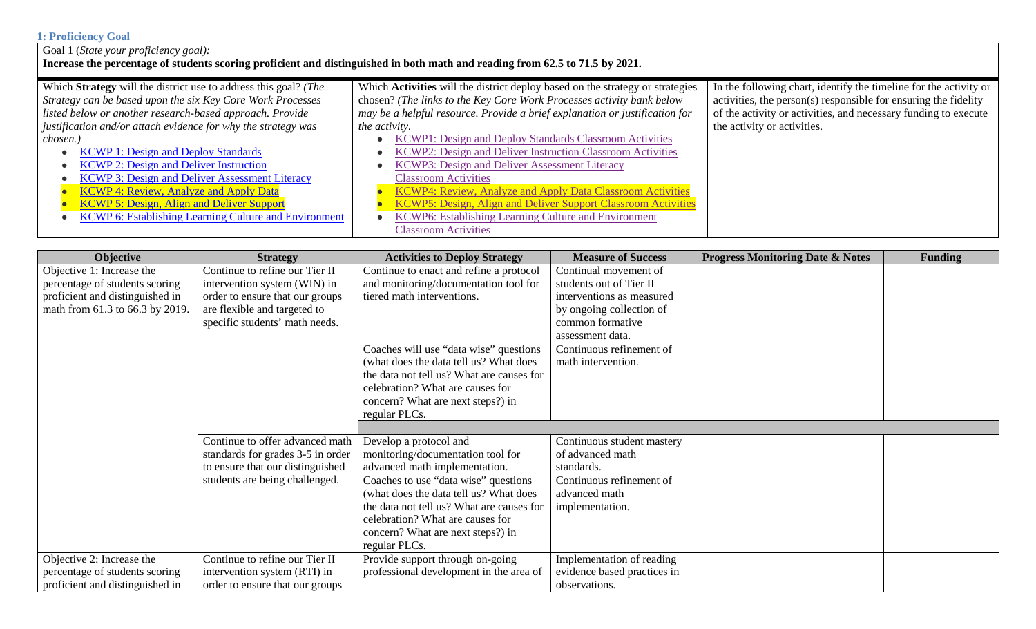# **1: Proficiency Goal**

#### Goal 1 (*State your proficiency goal):*

**Increase the percentage of students scoring proficient and distinguished in both math and reading from 62.5 to 71.5 by 2021.**

| Which Strategy will the district use to address this goal? (The | Which <b>Activities</b> will the district deploy based on the strategy or strategies | In the following chart, identify the timeline for the activity or |
|-----------------------------------------------------------------|--------------------------------------------------------------------------------------|-------------------------------------------------------------------|
| Strategy can be based upon the six Key Core Work Processes      | chosen? (The links to the Key Core Work Processes activity bank below                | activities, the person(s) responsible for ensuring the fidelity   |
| listed below or another research-based approach. Provide        | may be a helpful resource. Provide a brief explanation or justification for          | of the activity or activities, and necessary funding to execute   |
| justification and/or attach evidence for why the strategy was   | the activity.                                                                        | the activity or activities.                                       |
| chosen.)                                                        | <b>KCWP1: Design and Deploy Standards Classroom Activities</b>                       |                                                                   |
| • KCWP 1: Design and Deploy Standards                           | KCWP2: Design and Deliver Instruction Classroom Activities                           |                                                                   |
| • KCWP 2: Design and Deliver Instruction                        | KCWP3: Design and Deliver Assessment Literacy                                        |                                                                   |
| • KCWP 3: Design and Deliver Assessment Literacy                | <b>Classroom Activities</b>                                                          |                                                                   |
| <b>KCWP 4: Review, Analyze and Apply Data</b>                   | <b>KCWP4: Review, Analyze and Apply Data Classroom Activities</b>                    |                                                                   |
| <b>KCWP 5: Design, Align and Deliver Support</b>                | <b>KCWP5: Design, Align and Deliver Support Classroom Activities</b>                 |                                                                   |
| • KCWP 6: Establishing Learning Culture and Environment         | KCWP6: Establishing Learning Culture and Environment                                 |                                                                   |
|                                                                 | <b>Classroom Activities</b>                                                          |                                                                   |

| <b>Objective</b>                | <b>Strategy</b>                   | <b>Activities to Deploy Strategy</b>      | <b>Measure of Success</b>   | <b>Progress Monitoring Date &amp; Notes</b> | Funding |
|---------------------------------|-----------------------------------|-------------------------------------------|-----------------------------|---------------------------------------------|---------|
| Objective 1: Increase the       | Continue to refine our Tier II    | Continue to enact and refine a protocol   | Continual movement of       |                                             |         |
| percentage of students scoring  | intervention system (WIN) in      | and monitoring/documentation tool for     | students out of Tier II     |                                             |         |
| proficient and distinguished in | order to ensure that our groups   | tiered math interventions.                | interventions as measured   |                                             |         |
| math from 61.3 to 66.3 by 2019. | are flexible and targeted to      |                                           | by ongoing collection of    |                                             |         |
|                                 | specific students' math needs.    |                                           | common formative            |                                             |         |
|                                 |                                   |                                           | assessment data.            |                                             |         |
|                                 |                                   | Coaches will use "data wise" questions    | Continuous refinement of    |                                             |         |
|                                 |                                   | (what does the data tell us? What does    | math intervention.          |                                             |         |
|                                 |                                   | the data not tell us? What are causes for |                             |                                             |         |
|                                 |                                   | celebration? What are causes for          |                             |                                             |         |
|                                 |                                   | concern? What are next steps?) in         |                             |                                             |         |
|                                 |                                   | regular PLCs.                             |                             |                                             |         |
|                                 |                                   |                                           |                             |                                             |         |
|                                 | Continue to offer advanced math   | Develop a protocol and                    | Continuous student mastery  |                                             |         |
|                                 | standards for grades 3-5 in order | monitoring/documentation tool for         | of advanced math            |                                             |         |
|                                 | to ensure that our distinguished  | advanced math implementation.             | standards.                  |                                             |         |
|                                 | students are being challenged.    | Coaches to use "data wise" questions      | Continuous refinement of    |                                             |         |
|                                 |                                   | (what does the data tell us? What does    | advanced math               |                                             |         |
|                                 |                                   | the data not tell us? What are causes for | implementation.             |                                             |         |
|                                 |                                   | celebration? What are causes for          |                             |                                             |         |
|                                 |                                   | concern? What are next steps?) in         |                             |                                             |         |
|                                 |                                   | regular PLCs.                             |                             |                                             |         |
| Objective 2: Increase the       | Continue to refine our Tier II    | Provide support through on-going          | Implementation of reading   |                                             |         |
| percentage of students scoring  | intervention system (RTI) in      | professional development in the area of   | evidence based practices in |                                             |         |
| proficient and distinguished in | order to ensure that our groups   |                                           | observations.               |                                             |         |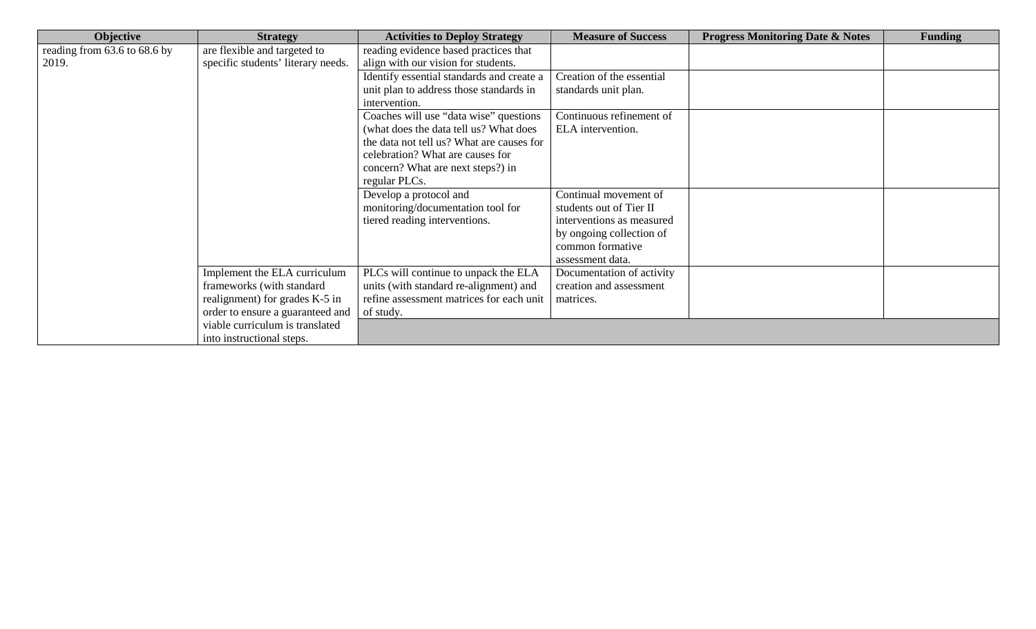| <b>Objective</b>             | <b>Strategy</b>                    | <b>Activities to Deploy Strategy</b>      | <b>Measure of Success</b> | <b>Progress Monitoring Date &amp; Notes</b> | <b>Funding</b> |
|------------------------------|------------------------------------|-------------------------------------------|---------------------------|---------------------------------------------|----------------|
| reading from 63.6 to 68.6 by | are flexible and targeted to       | reading evidence based practices that     |                           |                                             |                |
| 2019.                        | specific students' literary needs. | align with our vision for students.       |                           |                                             |                |
|                              |                                    | Identify essential standards and create a | Creation of the essential |                                             |                |
|                              |                                    | unit plan to address those standards in   | standards unit plan.      |                                             |                |
|                              |                                    | intervention.                             |                           |                                             |                |
|                              |                                    | Coaches will use "data wise" questions    | Continuous refinement of  |                                             |                |
|                              |                                    | (what does the data tell us? What does    | ELA intervention.         |                                             |                |
|                              |                                    | the data not tell us? What are causes for |                           |                                             |                |
|                              |                                    | celebration? What are causes for          |                           |                                             |                |
|                              |                                    | concern? What are next steps?) in         |                           |                                             |                |
|                              |                                    | regular PLCs.                             |                           |                                             |                |
|                              |                                    | Develop a protocol and                    | Continual movement of     |                                             |                |
|                              |                                    | monitoring/documentation tool for         | students out of Tier II   |                                             |                |
|                              |                                    | tiered reading interventions.             | interventions as measured |                                             |                |
|                              |                                    |                                           | by ongoing collection of  |                                             |                |
|                              |                                    |                                           | common formative          |                                             |                |
|                              |                                    |                                           | assessment data.          |                                             |                |
|                              | Implement the ELA curriculum       | PLCs will continue to unpack the ELA      | Documentation of activity |                                             |                |
|                              | frameworks (with standard          | units (with standard re-alignment) and    | creation and assessment   |                                             |                |
|                              | realignment) for grades K-5 in     | refine assessment matrices for each unit  | matrices.                 |                                             |                |
|                              | order to ensure a guaranteed and   | of study.                                 |                           |                                             |                |
|                              | viable curriculum is translated    |                                           |                           |                                             |                |
|                              | into instructional steps.          |                                           |                           |                                             |                |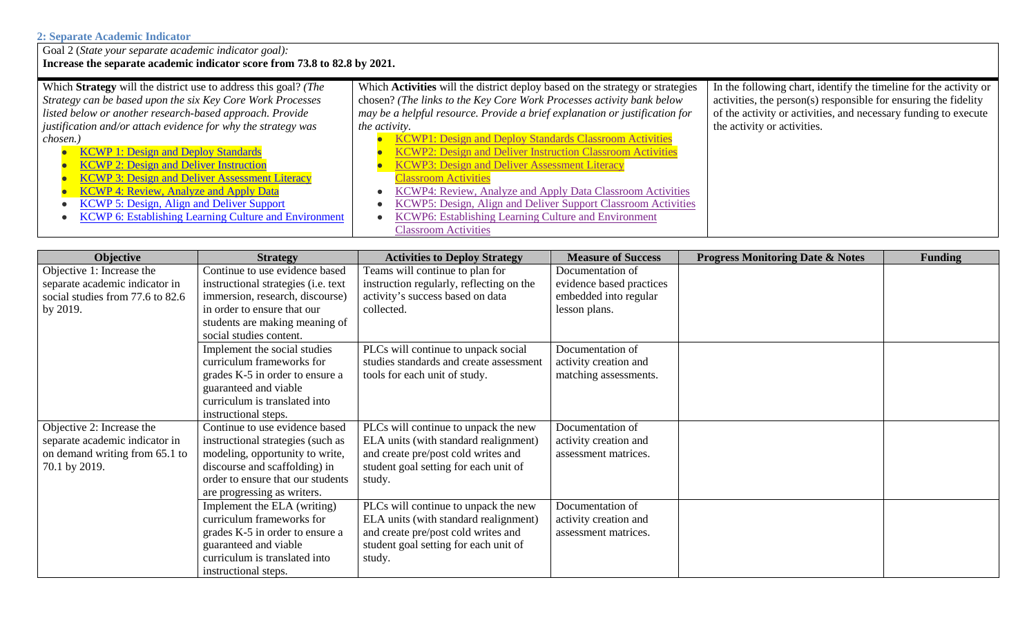# **2: Separate Academic Indicator**

Goal 2 (*State your separate academic indicator goal):* 

#### **Increase the separate academic indicator score from 73.8 to 82.8 by 2021.**

| Which Strategy will the district use to address this goal? (The | Which <b>Activities</b> will the district deploy based on the strategy or strategies | In the following chart, identify the timeline for the activity or |
|-----------------------------------------------------------------|--------------------------------------------------------------------------------------|-------------------------------------------------------------------|
| Strategy can be based upon the six Key Core Work Processes      | chosen? (The links to the Key Core Work Processes activity bank below                | activities, the person(s) responsible for ensuring the fidelity   |
| listed below or another research-based approach. Provide        | may be a helpful resource. Provide a brief explanation or justification for          | of the activity or activities, and necessary funding to execute   |
| justification and/or attach evidence for why the strategy was   | the activity.                                                                        | the activity or activities.                                       |
| chosen.)                                                        | <b>KCWP1: Design and Deploy Standards Classroom Activities</b>                       |                                                                   |
| <b>KCWP 1: Design and Deploy Standards</b>                      | <b>KCWP2: Design and Deliver Instruction Classroom Activities</b>                    |                                                                   |
| <b>KCWP 2: Design and Deliver Instruction</b>                   | <b>KCWP3: Design and Deliver Assessment Literacy</b>                                 |                                                                   |
| <b>KCWP 3: Design and Deliver Assessment Literacy</b>           | <b>Classroom Activities</b>                                                          |                                                                   |
| <b>KCWP 4: Review, Analyze and Apply Data</b>                   | <b>KCWP4: Review, Analyze and Apply Data Classroom Activities</b>                    |                                                                   |
| • KCWP 5: Design, Align and Deliver Support                     | KCWP5: Design, Align and Deliver Support Classroom Activities                        |                                                                   |
| • KCWP 6: Establishing Learning Culture and Environment         | KCWP6: Establishing Learning Culture and Environment                                 |                                                                   |
|                                                                 | <b>Classroom Activities</b>                                                          |                                                                   |

| Objective                        | <b>Strategy</b>                     | <b>Activities to Deploy Strategy</b>     | <b>Measure of Success</b> | <b>Progress Monitoring Date &amp; Notes</b> | <b>Funding</b> |
|----------------------------------|-------------------------------------|------------------------------------------|---------------------------|---------------------------------------------|----------------|
| Objective 1: Increase the        | Continue to use evidence based      | Teams will continue to plan for          | Documentation of          |                                             |                |
| separate academic indicator in   | instructional strategies (i.e. text | instruction regularly, reflecting on the | evidence based practices  |                                             |                |
| social studies from 77.6 to 82.6 | immersion, research, discourse)     | activity's success based on data         | embedded into regular     |                                             |                |
| by 2019.                         | in order to ensure that our         | collected.                               | lesson plans.             |                                             |                |
|                                  | students are making meaning of      |                                          |                           |                                             |                |
|                                  | social studies content.             |                                          |                           |                                             |                |
|                                  | Implement the social studies        | PLCs will continue to unpack social      | Documentation of          |                                             |                |
|                                  | curriculum frameworks for           | studies standards and create assessment  | activity creation and     |                                             |                |
|                                  | grades K-5 in order to ensure a     | tools for each unit of study.            | matching assessments.     |                                             |                |
|                                  | guaranteed and viable               |                                          |                           |                                             |                |
|                                  | curriculum is translated into       |                                          |                           |                                             |                |
|                                  | instructional steps.                |                                          |                           |                                             |                |
| Objective 2: Increase the        | Continue to use evidence based      | PLCs will continue to unpack the new     | Documentation of          |                                             |                |
| separate academic indicator in   | instructional strategies (such as   | ELA units (with standard realignment)    | activity creation and     |                                             |                |
| on demand writing from 65.1 to   | modeling, opportunity to write,     | and create pre/post cold writes and      | assessment matrices.      |                                             |                |
| 70.1 by 2019.                    | discourse and scaffolding) in       | student goal setting for each unit of    |                           |                                             |                |
|                                  | order to ensure that our students   | study.                                   |                           |                                             |                |
|                                  | are progressing as writers.         |                                          |                           |                                             |                |
|                                  | Implement the ELA (writing)         | PLCs will continue to unpack the new     | Documentation of          |                                             |                |
|                                  | curriculum frameworks for           | ELA units (with standard realignment)    | activity creation and     |                                             |                |
|                                  | grades K-5 in order to ensure a     | and create pre/post cold writes and      | assessment matrices.      |                                             |                |
|                                  | guaranteed and viable               | student goal setting for each unit of    |                           |                                             |                |
|                                  | curriculum is translated into       | study.                                   |                           |                                             |                |
|                                  | instructional steps.                |                                          |                           |                                             |                |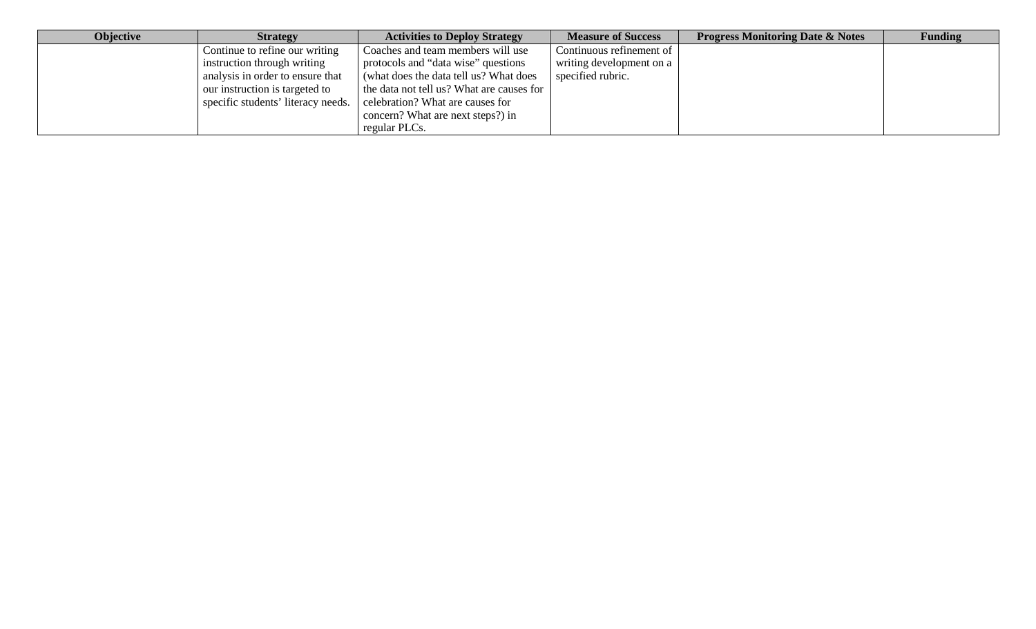| Objective | <b>Strategy</b>                  | <b>Activities to Deploy Strategy</b>                                | <b>Measure of Success</b> | <b>Progress Monitoring Date &amp; Notes</b> | <b>Funding</b> |
|-----------|----------------------------------|---------------------------------------------------------------------|---------------------------|---------------------------------------------|----------------|
|           | Continue to refine our writing   | Coaches and team members will use                                   | Continuous refinement of  |                                             |                |
|           | instruction through writing      | protocols and "data wise" questions                                 | writing development on a  |                                             |                |
|           | analysis in order to ensure that | (what does the data tell us? What does)                             | specified rubric.         |                                             |                |
|           | our instruction is targeted to   | the data not tell us? What are causes for                           |                           |                                             |                |
|           |                                  | specific students' literacy needs. celebration? What are causes for |                           |                                             |                |
|           |                                  | concern? What are next steps?) in                                   |                           |                                             |                |
|           |                                  | regular PLCs.                                                       |                           |                                             |                |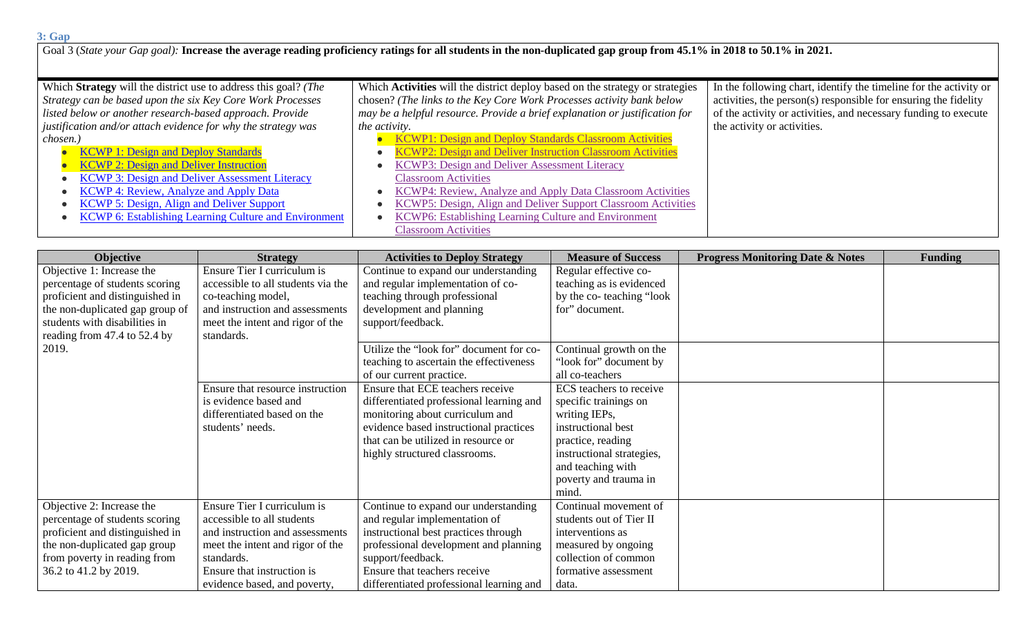## **3: Gap**

| 3: Gap                                                                                                                                                               |                                                                                      |                                                                   |  |  |  |
|----------------------------------------------------------------------------------------------------------------------------------------------------------------------|--------------------------------------------------------------------------------------|-------------------------------------------------------------------|--|--|--|
| Goal 3 (State your Gap goal): Increase the average reading proficiency ratings for all students in the non-duplicated gap group from 45.1% in 2018 to 50.1% in 2021. |                                                                                      |                                                                   |  |  |  |
|                                                                                                                                                                      |                                                                                      |                                                                   |  |  |  |
|                                                                                                                                                                      |                                                                                      |                                                                   |  |  |  |
| Which Strategy will the district use to address this goal? (The                                                                                                      | Which <b>Activities</b> will the district deploy based on the strategy or strategies | In the following chart, identify the timeline for the activity or |  |  |  |
| Strategy can be based upon the six Key Core Work Processes                                                                                                           | chosen? (The links to the Key Core Work Processes activity bank below                | activities, the person(s) responsible for ensuring the fidelity   |  |  |  |
| listed below or another research-based approach. Provide                                                                                                             | may be a helpful resource. Provide a brief explanation or justification for          | of the activity or activities, and necessary funding to execute   |  |  |  |
| justification and/or attach evidence for why the strategy was                                                                                                        | <i>the activity.</i>                                                                 | the activity or activities.                                       |  |  |  |
| chosen.)                                                                                                                                                             | <b>KCWP1: Design and Deploy Standards Classroom Activities</b>                       |                                                                   |  |  |  |
| <b>KCWP 1: Design and Deploy Standards</b>                                                                                                                           | <b>KCWP2: Design and Deliver Instruction Classroom Activities</b>                    |                                                                   |  |  |  |
| <b>KCWP 2: Design and Deliver Instruction</b>                                                                                                                        | KCWP3: Design and Deliver Assessment Literacy                                        |                                                                   |  |  |  |
| <b>KCWP 3: Design and Deliver Assessment Literacy</b>                                                                                                                | <b>Classroom Activities</b>                                                          |                                                                   |  |  |  |
| <b>KCWP 4: Review, Analyze and Apply Data</b>                                                                                                                        | <b>KCWP4: Review, Analyze and Apply Data Classroom Activities</b>                    |                                                                   |  |  |  |
| KCWP 5: Design, Align and Deliver Support                                                                                                                            | <b>KCWP5: Design, Align and Deliver Support Classroom Activities</b>                 |                                                                   |  |  |  |
| <b>KCWP 6: Establishing Learning Culture and Environment</b>                                                                                                         | KCWP6: Establishing Learning Culture and Environment                                 |                                                                   |  |  |  |
|                                                                                                                                                                      | <b>Classroom Activities</b>                                                          |                                                                   |  |  |  |

| Objective                       | <b>Strategy</b>                    | <b>Activities to Deploy Strategy</b>     | <b>Measure of Success</b> | <b>Progress Monitoring Date &amp; Notes</b> | <b>Funding</b> |
|---------------------------------|------------------------------------|------------------------------------------|---------------------------|---------------------------------------------|----------------|
| Objective 1: Increase the       | Ensure Tier I curriculum is        | Continue to expand our understanding     | Regular effective co-     |                                             |                |
| percentage of students scoring  | accessible to all students via the | and regular implementation of co-        | teaching as is evidenced  |                                             |                |
| proficient and distinguished in | co-teaching model,                 | teaching through professional            | by the co-teaching "look" |                                             |                |
| the non-duplicated gap group of | and instruction and assessments    | development and planning                 | for" document.            |                                             |                |
| students with disabilities in   | meet the intent and rigor of the   | support/feedback.                        |                           |                                             |                |
| reading from 47.4 to 52.4 by    | standards.                         |                                          |                           |                                             |                |
| 2019.                           |                                    | Utilize the "look for" document for co-  | Continual growth on the   |                                             |                |
|                                 |                                    | teaching to ascertain the effectiveness  | "look for" document by    |                                             |                |
|                                 |                                    | of our current practice.                 | all co-teachers           |                                             |                |
|                                 | Ensure that resource instruction   | Ensure that ECE teachers receive         | ECS teachers to receive   |                                             |                |
|                                 | is evidence based and              | differentiated professional learning and | specific trainings on     |                                             |                |
|                                 | differentiated based on the        | monitoring about curriculum and          | writing IEPs,             |                                             |                |
|                                 | students' needs.                   | evidence based instructional practices   | instructional best        |                                             |                |
|                                 |                                    | that can be utilized in resource or      | practice, reading         |                                             |                |
|                                 |                                    | highly structured classrooms.            | instructional strategies, |                                             |                |
|                                 |                                    |                                          | and teaching with         |                                             |                |
|                                 |                                    |                                          | poverty and trauma in     |                                             |                |
|                                 |                                    |                                          | mind.                     |                                             |                |
| Objective 2: Increase the       | Ensure Tier I curriculum is        | Continue to expand our understanding     | Continual movement of     |                                             |                |
| percentage of students scoring  | accessible to all students         | and regular implementation of            | students out of Tier II   |                                             |                |
| proficient and distinguished in | and instruction and assessments    | instructional best practices through     | interventions as          |                                             |                |
| the non-duplicated gap group    | meet the intent and rigor of the   | professional development and planning    | measured by ongoing       |                                             |                |
| from poverty in reading from    | standards.                         | support/feedback.                        | collection of common      |                                             |                |
| 36.2 to 41.2 by 2019.           | Ensure that instruction is         | Ensure that teachers receive             | formative assessment      |                                             |                |
|                                 | evidence based, and poverty,       | differentiated professional learning and | data.                     |                                             |                |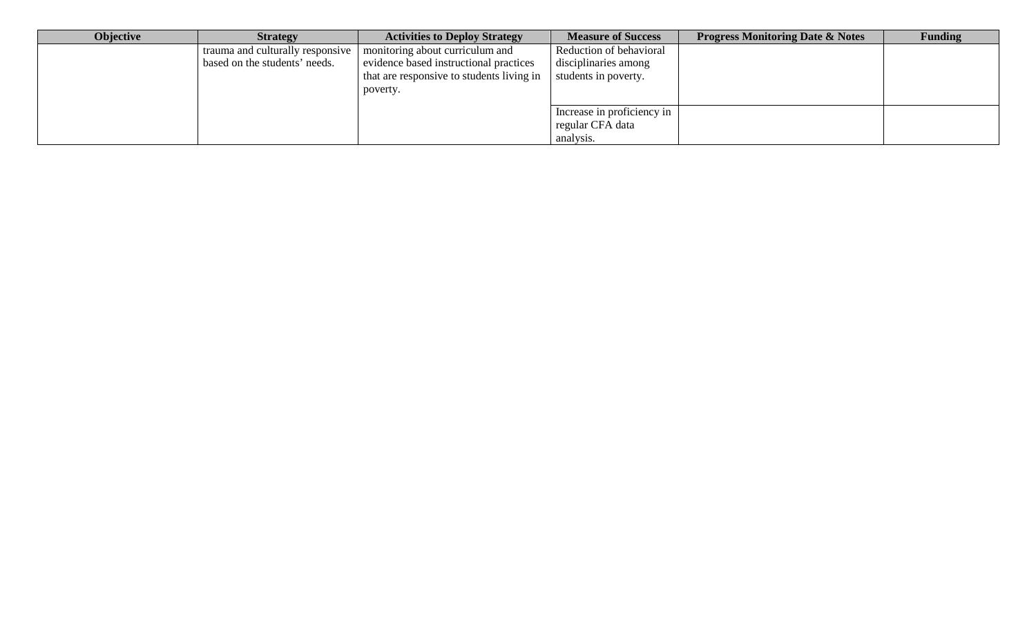| <b>Objective</b> | <b>Strategy</b>                  | <b>Activities to Deploy Strategy</b>      | <b>Measure of Success</b>  | <b>Progress Monitoring Date &amp; Notes</b> | <b>Funding</b> |
|------------------|----------------------------------|-------------------------------------------|----------------------------|---------------------------------------------|----------------|
|                  | trauma and culturally responsive | monitoring about curriculum and           | Reduction of behavioral    |                                             |                |
|                  | based on the students' needs.    | evidence based instructional practices    | disciplinaries among       |                                             |                |
|                  |                                  | that are responsive to students living in | students in poverty.       |                                             |                |
|                  |                                  | poverty.                                  |                            |                                             |                |
|                  |                                  |                                           | Increase in proficiency in |                                             |                |
|                  |                                  |                                           | regular CFA data           |                                             |                |
|                  |                                  |                                           | analysis.                  |                                             |                |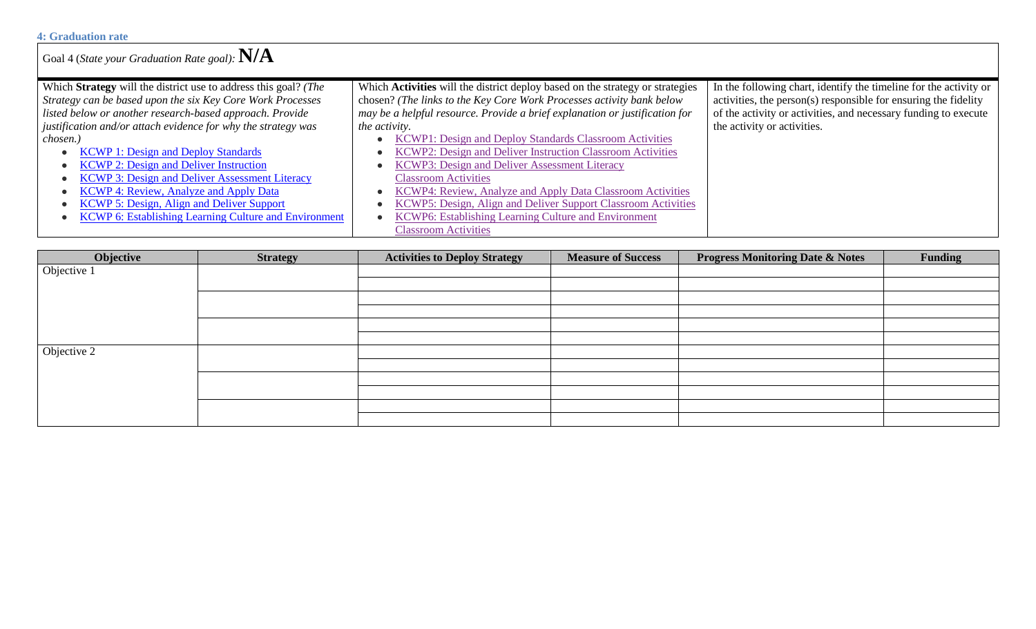| <b>4: Graduation rate</b>                                       |                                                                               |                                                                   |
|-----------------------------------------------------------------|-------------------------------------------------------------------------------|-------------------------------------------------------------------|
| Goal 4 (State your Graduation Rate goal): $N/A$                 |                                                                               |                                                                   |
| Which Strategy will the district use to address this goal? (The | Which Activities will the district deploy based on the strategy or strategies | In the following chart, identify the timeline for the activity or |
| Strategy can be based upon the six Key Core Work Processes      | chosen? (The links to the Key Core Work Processes activity bank below         | activities, the person(s) responsible for ensuring the fidelity   |
| listed below or another research-based approach. Provide        | may be a helpful resource. Provide a brief explanation or justification for   | of the activity or activities, and necessary funding to execute   |
| justification and/or attach evidence for why the strategy was   | the activity.                                                                 | the activity or activities.                                       |
| chosen.)                                                        | <b>KCWP1: Design and Deploy Standards Classroom Activities</b>                |                                                                   |
| <b>KCWP 1: Design and Deploy Standards</b>                      | KCWP2: Design and Deliver Instruction Classroom Activities                    |                                                                   |
| <b>KCWP 2: Design and Deliver Instruction</b>                   | KCWP3: Design and Deliver Assessment Literacy                                 |                                                                   |
| <b>KCWP 3: Design and Deliver Assessment Literacy</b>           | <b>Classroom Activities</b>                                                   |                                                                   |
| <b>KCWP 4: Review, Analyze and Apply Data</b>                   | <b>KCWP4: Review, Analyze and Apply Data Classroom Activities</b>             |                                                                   |
| <b>KCWP 5: Design, Align and Deliver Support</b>                | KCWP5: Design, Align and Deliver Support Classroom Activities                 |                                                                   |
| <b>KCWP 6: Establishing Learning Culture and Environment</b>    | KCWP6: Establishing Learning Culture and Environment                          |                                                                   |
|                                                                 | <b>Classroom Activities</b>                                                   |                                                                   |

| Objective   | <b>Strategy</b> | <b>Activities to Deploy Strategy</b> | <b>Measure of Success</b> | <b>Progress Monitoring Date &amp; Notes</b> | <b>Funding</b> |
|-------------|-----------------|--------------------------------------|---------------------------|---------------------------------------------|----------------|
| Objective 1 |                 |                                      |                           |                                             |                |
|             |                 |                                      |                           |                                             |                |
|             |                 |                                      |                           |                                             |                |
|             |                 |                                      |                           |                                             |                |
|             |                 |                                      |                           |                                             |                |
|             |                 |                                      |                           |                                             |                |
| Objective 2 |                 |                                      |                           |                                             |                |
|             |                 |                                      |                           |                                             |                |
|             |                 |                                      |                           |                                             |                |
|             |                 |                                      |                           |                                             |                |
|             |                 |                                      |                           |                                             |                |
|             |                 |                                      |                           |                                             |                |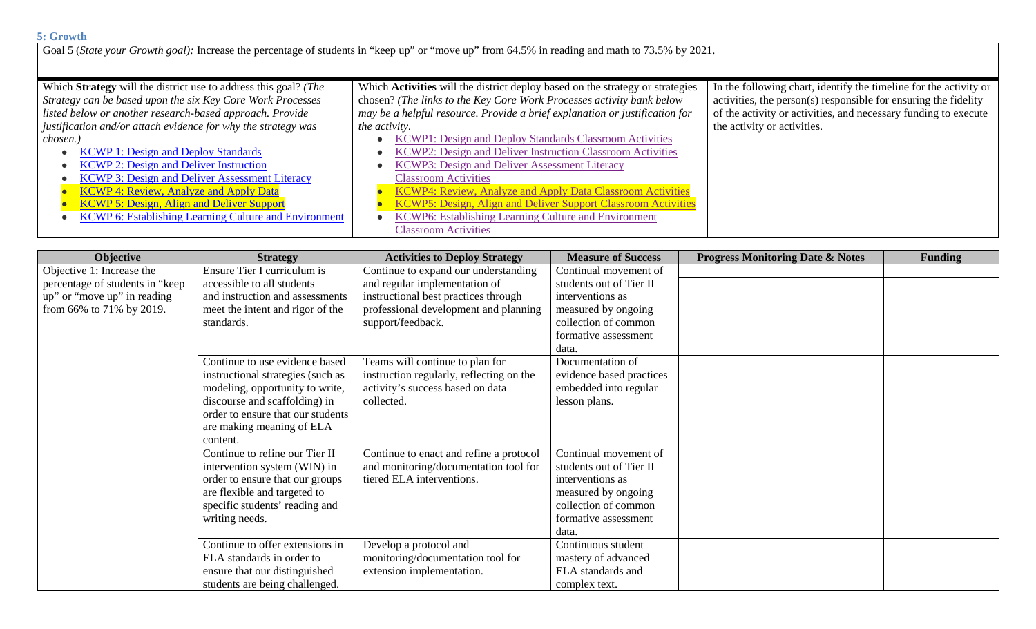## **5: Growth**

Goal 5 (*State your Growth goal*): Increase the percentage of students in "keep up" or "move up" from 64.5% in reading and math to 73.5% by 2021.

| Which Strategy will the district use to address this goal? (The | Which <b>Activities</b> will the district deploy based on the strategy or strategies | In the following chart, identify the timeline for the activity or |
|-----------------------------------------------------------------|--------------------------------------------------------------------------------------|-------------------------------------------------------------------|
| Strategy can be based upon the six Key Core Work Processes      | chosen? (The links to the Key Core Work Processes activity bank below                | activities, the person(s) responsible for ensuring the fidelity   |
| listed below or another research-based approach. Provide        | may be a helpful resource. Provide a brief explanation or justification for          | of the activity or activities, and necessary funding to execute   |
| justification and/or attach evidence for why the strategy was   | <i>the activity.</i>                                                                 | the activity or activities.                                       |
| chosen.)                                                        | <b>KCWP1: Design and Deploy Standards Classroom Activities</b>                       |                                                                   |
| <b>KCWP 1: Design and Deploy Standards</b>                      | KCWP2: Design and Deliver Instruction Classroom Activities                           |                                                                   |
| <b>KCWP 2: Design and Deliver Instruction</b>                   | KCWP3: Design and Deliver Assessment Literacy                                        |                                                                   |
| <b>KCWP 3: Design and Deliver Assessment Literacy</b>           | <b>Classroom Activities</b>                                                          |                                                                   |
| <b>KCWP 4: Review, Analyze and Apply Data</b>                   | <b>KCWP4: Review, Analyze and Apply Data Classroom Activities</b>                    |                                                                   |
| <b>KCWP 5: Design, Align and Deliver Support</b>                | KCWP5: Design, Align and Deliver Support Classroom Activities                        |                                                                   |
| <b>KCWP 6: Establishing Learning Culture and Environment</b>    | KCWP6: Establishing Learning Culture and Environment                                 |                                                                   |
|                                                                 | <b>Classroom Activities</b>                                                          |                                                                   |

| <b>Objective</b>                | <b>Strategy</b>                   | <b>Activities to Deploy Strategy</b>     | <b>Measure of Success</b> | <b>Progress Monitoring Date &amp; Notes</b> | <b>Funding</b> |
|---------------------------------|-----------------------------------|------------------------------------------|---------------------------|---------------------------------------------|----------------|
| Objective 1: Increase the       | Ensure Tier I curriculum is       | Continue to expand our understanding     | Continual movement of     |                                             |                |
| percentage of students in "keep | accessible to all students        | and regular implementation of            | students out of Tier II   |                                             |                |
| up" or "move up" in reading     | and instruction and assessments   | instructional best practices through     | interventions as          |                                             |                |
| from 66% to 71% by 2019.        | meet the intent and rigor of the  | professional development and planning    | measured by ongoing       |                                             |                |
|                                 | standards.                        | support/feedback.                        | collection of common      |                                             |                |
|                                 |                                   |                                          | formative assessment      |                                             |                |
|                                 |                                   |                                          | data.                     |                                             |                |
|                                 | Continue to use evidence based    | Teams will continue to plan for          | Documentation of          |                                             |                |
|                                 | instructional strategies (such as | instruction regularly, reflecting on the | evidence based practices  |                                             |                |
|                                 | modeling, opportunity to write,   | activity's success based on data         | embedded into regular     |                                             |                |
|                                 | discourse and scaffolding) in     | collected.                               | lesson plans.             |                                             |                |
|                                 | order to ensure that our students |                                          |                           |                                             |                |
|                                 | are making meaning of ELA         |                                          |                           |                                             |                |
|                                 | content.                          |                                          |                           |                                             |                |
|                                 | Continue to refine our Tier II    | Continue to enact and refine a protocol  | Continual movement of     |                                             |                |
|                                 | intervention system (WIN) in      | and monitoring/documentation tool for    | students out of Tier II   |                                             |                |
|                                 | order to ensure that our groups   | tiered ELA interventions.                | interventions as          |                                             |                |
|                                 | are flexible and targeted to      |                                          | measured by ongoing       |                                             |                |
|                                 | specific students' reading and    |                                          | collection of common      |                                             |                |
|                                 | writing needs.                    |                                          | formative assessment      |                                             |                |
|                                 |                                   |                                          | data.                     |                                             |                |
|                                 | Continue to offer extensions in   | Develop a protocol and                   | Continuous student        |                                             |                |
|                                 | ELA standards in order to         | monitoring/documentation tool for        | mastery of advanced       |                                             |                |
|                                 | ensure that our distinguished     | extension implementation.                | ELA standards and         |                                             |                |
|                                 | students are being challenged.    |                                          | complex text.             |                                             |                |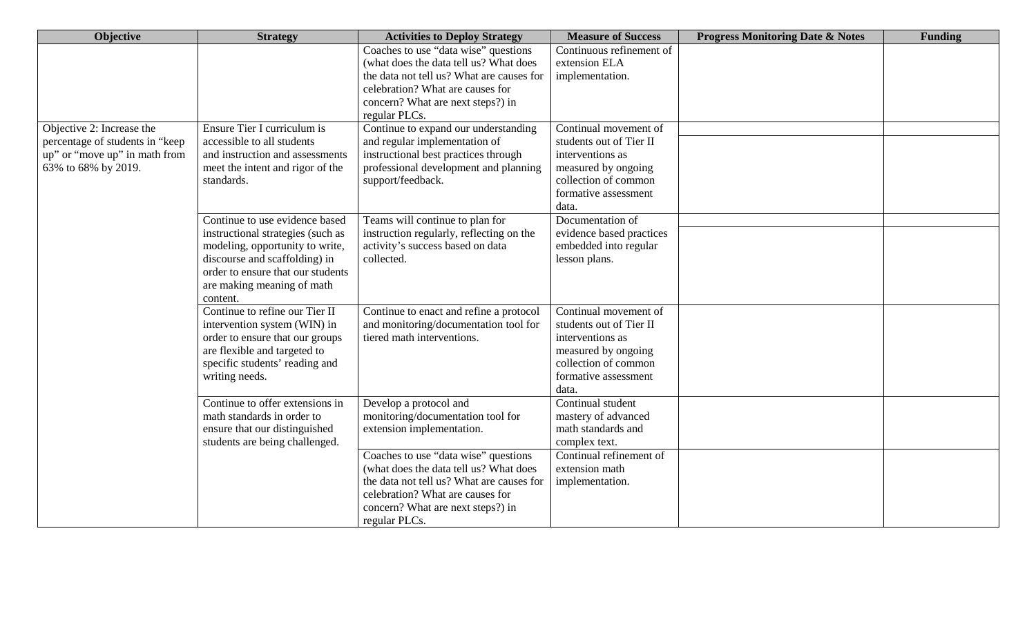| <b>Objective</b>                | <b>Strategy</b>                   | <b>Activities to Deploy Strategy</b>      | <b>Measure of Success</b> | <b>Progress Monitoring Date &amp; Notes</b> | <b>Funding</b> |
|---------------------------------|-----------------------------------|-------------------------------------------|---------------------------|---------------------------------------------|----------------|
|                                 |                                   | Coaches to use "data wise" questions      | Continuous refinement of  |                                             |                |
|                                 |                                   | (what does the data tell us? What does    | extension ELA             |                                             |                |
|                                 |                                   | the data not tell us? What are causes for | implementation.           |                                             |                |
|                                 |                                   | celebration? What are causes for          |                           |                                             |                |
|                                 |                                   | concern? What are next steps?) in         |                           |                                             |                |
|                                 |                                   | regular PLCs.                             |                           |                                             |                |
| Objective 2: Increase the       | Ensure Tier I curriculum is       | Continue to expand our understanding      | Continual movement of     |                                             |                |
| percentage of students in "keep | accessible to all students        | and regular implementation of             | students out of Tier II   |                                             |                |
| up" or "move up" in math from   | and instruction and assessments   | instructional best practices through      | interventions as          |                                             |                |
| 63% to 68% by 2019.             | meet the intent and rigor of the  | professional development and planning     | measured by ongoing       |                                             |                |
|                                 | standards.                        | support/feedback.                         | collection of common      |                                             |                |
|                                 |                                   |                                           | formative assessment      |                                             |                |
|                                 |                                   |                                           | data.                     |                                             |                |
|                                 | Continue to use evidence based    | Teams will continue to plan for           | Documentation of          |                                             |                |
|                                 | instructional strategies (such as | instruction regularly, reflecting on the  | evidence based practices  |                                             |                |
|                                 | modeling, opportunity to write,   | activity's success based on data          | embedded into regular     |                                             |                |
|                                 | discourse and scaffolding) in     | collected.                                | lesson plans.             |                                             |                |
|                                 | order to ensure that our students |                                           |                           |                                             |                |
|                                 | are making meaning of math        |                                           |                           |                                             |                |
|                                 | content.                          |                                           |                           |                                             |                |
|                                 | Continue to refine our Tier II    | Continue to enact and refine a protocol   | Continual movement of     |                                             |                |
|                                 | intervention system (WIN) in      | and monitoring/documentation tool for     | students out of Tier II   |                                             |                |
|                                 | order to ensure that our groups   | tiered math interventions.                | interventions as          |                                             |                |
|                                 | are flexible and targeted to      |                                           | measured by ongoing       |                                             |                |
|                                 | specific students' reading and    |                                           | collection of common      |                                             |                |
|                                 | writing needs.                    |                                           | formative assessment      |                                             |                |
|                                 |                                   |                                           | data.                     |                                             |                |
|                                 | Continue to offer extensions in   | Develop a protocol and                    | Continual student         |                                             |                |
|                                 | math standards in order to        | monitoring/documentation tool for         | mastery of advanced       |                                             |                |
|                                 | ensure that our distinguished     | extension implementation.                 | math standards and        |                                             |                |
|                                 | students are being challenged.    |                                           | complex text.             |                                             |                |
|                                 |                                   | Coaches to use "data wise" questions      | Continual refinement of   |                                             |                |
|                                 |                                   | (what does the data tell us? What does    | extension math            |                                             |                |
|                                 |                                   | the data not tell us? What are causes for | implementation.           |                                             |                |
|                                 |                                   | celebration? What are causes for          |                           |                                             |                |
|                                 |                                   | concern? What are next steps?) in         |                           |                                             |                |
|                                 |                                   | regular PLCs.                             |                           |                                             |                |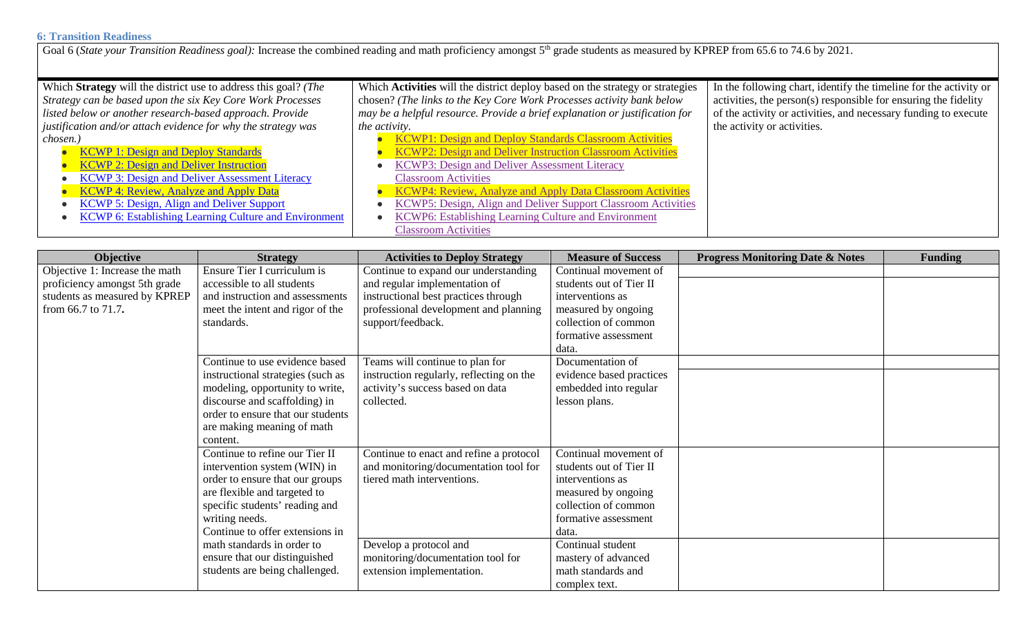## **6: Transition Readiness**

Goal 6 (*State your Transition Readiness goal*): Increase the combined reading and math proficiency amongst 5<sup>th</sup> grade students as measured by KPREP from 65.6 to 74.6 by 2021.

| Which Strategy will the district use to address this goal? (The | Which Activities will the district deploy based on the strategy or strategies | In the following chart, identify the timeline for the activity or |
|-----------------------------------------------------------------|-------------------------------------------------------------------------------|-------------------------------------------------------------------|
| Strategy can be based upon the six Key Core Work Processes      | chosen? (The links to the Key Core Work Processes activity bank below         | activities, the person(s) responsible for ensuring the fidelity   |
| listed below or another research-based approach. Provide        | may be a helpful resource. Provide a brief explanation or justification for   | of the activity or activities, and necessary funding to execute   |
| justification and/or attach evidence for why the strategy was   | <i>the activity.</i>                                                          | the activity or activities.                                       |
| chosen.)                                                        | <b>KCWP1: Design and Deploy Standards Classroom Activities</b>                |                                                                   |
| <b>KCWP 1: Design and Deploy Standards</b>                      | <b>KCWP2: Design and Deliver Instruction Classroom Activities</b>             |                                                                   |
| <b>KCWP 2: Design and Deliver Instruction</b>                   | KCWP3: Design and Deliver Assessment Literacy                                 |                                                                   |
| <b>KCWP 3: Design and Deliver Assessment Literacy</b>           | <b>Classroom Activities</b>                                                   |                                                                   |
| <b>KCWP 4: Review, Analyze and Apply Data</b>                   | <b>KCWP4: Review, Analyze and Apply Data Classroom Activities</b>             |                                                                   |
| <b>KCWP 5: Design, Align and Deliver Support</b>                | KCWP5: Design, Align and Deliver Support Classroom Activities                 |                                                                   |
| <b>KCWP 6: Establishing Learning Culture and Environment</b>    | KCWP6: Establishing Learning Culture and Environment                          |                                                                   |
|                                                                 | <b>Classroom Activities</b>                                                   |                                                                   |

| <b>Objective</b>               | <b>Strategy</b>                   | <b>Activities to Deploy Strategy</b>     | <b>Measure of Success</b> | <b>Progress Monitoring Date &amp; Notes</b> | <b>Funding</b> |
|--------------------------------|-----------------------------------|------------------------------------------|---------------------------|---------------------------------------------|----------------|
| Objective 1: Increase the math | Ensure Tier I curriculum is       | Continue to expand our understanding     | Continual movement of     |                                             |                |
| proficiency amongst 5th grade  | accessible to all students        | and regular implementation of            | students out of Tier II   |                                             |                |
| students as measured by KPREP  | and instruction and assessments   | instructional best practices through     | interventions as          |                                             |                |
| from 66.7 to 71.7.             | meet the intent and rigor of the  | professional development and planning    | measured by ongoing       |                                             |                |
|                                | standards.                        | support/feedback.                        | collection of common      |                                             |                |
|                                |                                   |                                          | formative assessment      |                                             |                |
|                                |                                   |                                          | data.                     |                                             |                |
|                                | Continue to use evidence based    | Teams will continue to plan for          | Documentation of          |                                             |                |
|                                | instructional strategies (such as | instruction regularly, reflecting on the | evidence based practices  |                                             |                |
|                                | modeling, opportunity to write,   | activity's success based on data         | embedded into regular     |                                             |                |
|                                | discourse and scaffolding) in     | collected.                               | lesson plans.             |                                             |                |
|                                | order to ensure that our students |                                          |                           |                                             |                |
|                                | are making meaning of math        |                                          |                           |                                             |                |
|                                | content.                          |                                          |                           |                                             |                |
|                                | Continue to refine our Tier II    | Continue to enact and refine a protocol  | Continual movement of     |                                             |                |
|                                | intervention system (WIN) in      | and monitoring/documentation tool for    | students out of Tier II   |                                             |                |
|                                | order to ensure that our groups   | tiered math interventions.               | interventions as          |                                             |                |
|                                | are flexible and targeted to      |                                          | measured by ongoing       |                                             |                |
|                                | specific students' reading and    |                                          | collection of common      |                                             |                |
|                                | writing needs.                    |                                          | formative assessment      |                                             |                |
|                                | Continue to offer extensions in   |                                          | data.                     |                                             |                |
|                                | math standards in order to        | Develop a protocol and                   | Continual student         |                                             |                |
|                                | ensure that our distinguished     | monitoring/documentation tool for        | mastery of advanced       |                                             |                |
|                                | students are being challenged.    | extension implementation.                | math standards and        |                                             |                |
|                                |                                   |                                          | complex text.             |                                             |                |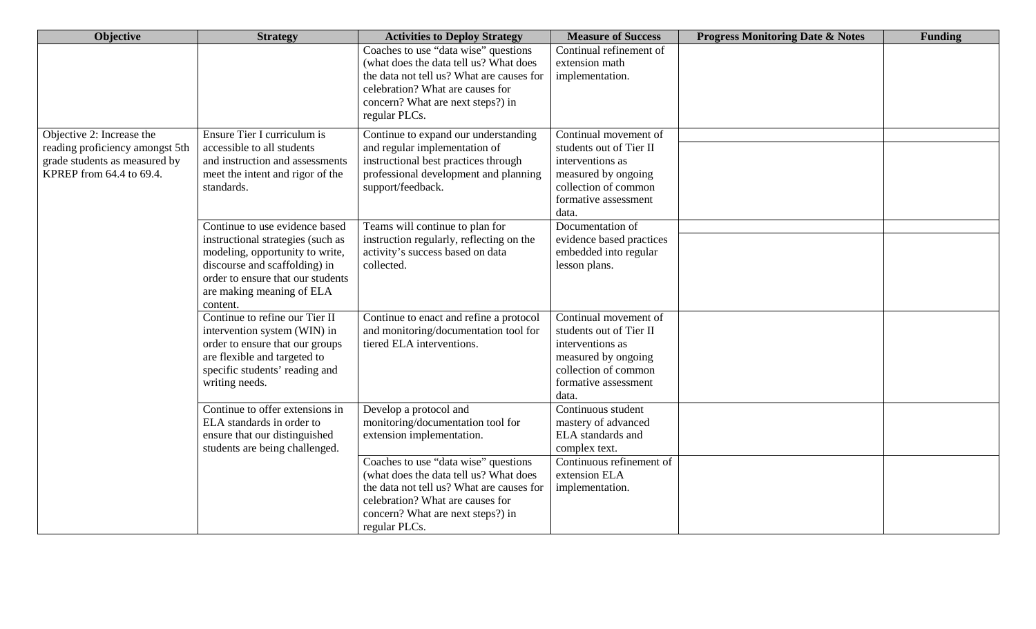| Objective                                                                                                                 | <b>Strategy</b>                                                                                                                                                                                                       | <b>Activities to Deploy Strategy</b>                                                                                                                                                                                  | <b>Measure of Success</b>                                                                                                                            | <b>Progress Monitoring Date &amp; Notes</b> | <b>Funding</b> |
|---------------------------------------------------------------------------------------------------------------------------|-----------------------------------------------------------------------------------------------------------------------------------------------------------------------------------------------------------------------|-----------------------------------------------------------------------------------------------------------------------------------------------------------------------------------------------------------------------|------------------------------------------------------------------------------------------------------------------------------------------------------|---------------------------------------------|----------------|
|                                                                                                                           |                                                                                                                                                                                                                       | Coaches to use "data wise" questions<br>(what does the data tell us? What does<br>the data not tell us? What are causes for<br>celebration? What are causes for<br>concern? What are next steps?) in<br>regular PLCs. | Continual refinement of<br>extension math<br>implementation.                                                                                         |                                             |                |
| Objective 2: Increase the<br>reading proficiency amongst 5th<br>grade students as measured by<br>KPREP from 64.4 to 69.4. | Ensure Tier I curriculum is<br>accessible to all students<br>and instruction and assessments<br>meet the intent and rigor of the<br>standards.                                                                        | Continue to expand our understanding<br>and regular implementation of<br>instructional best practices through<br>professional development and planning<br>support/feedback.                                           | Continual movement of<br>students out of Tier II<br>interventions as<br>measured by ongoing<br>collection of common<br>formative assessment<br>data. |                                             |                |
|                                                                                                                           | Continue to use evidence based<br>instructional strategies (such as<br>modeling, opportunity to write,<br>discourse and scaffolding) in<br>order to ensure that our students<br>are making meaning of ELA<br>content. | Teams will continue to plan for<br>instruction regularly, reflecting on the<br>activity's success based on data<br>collected.                                                                                         | Documentation of<br>evidence based practices<br>embedded into regular<br>lesson plans.                                                               |                                             |                |
|                                                                                                                           | Continue to refine our Tier II<br>intervention system (WIN) in<br>order to ensure that our groups<br>are flexible and targeted to<br>specific students' reading and<br>writing needs.                                 | Continue to enact and refine a protocol<br>and monitoring/documentation tool for<br>tiered ELA interventions.                                                                                                         | Continual movement of<br>students out of Tier II<br>interventions as<br>measured by ongoing<br>collection of common<br>formative assessment<br>data. |                                             |                |
|                                                                                                                           | Continue to offer extensions in<br>ELA standards in order to<br>ensure that our distinguished<br>students are being challenged.                                                                                       | Develop a protocol and<br>monitoring/documentation tool for<br>extension implementation.                                                                                                                              | Continuous student<br>mastery of advanced<br>ELA standards and<br>complex text.                                                                      |                                             |                |
|                                                                                                                           |                                                                                                                                                                                                                       | Coaches to use "data wise" questions<br>(what does the data tell us? What does<br>the data not tell us? What are causes for<br>celebration? What are causes for<br>concern? What are next steps?) in<br>regular PLCs. | Continuous refinement of<br>extension ELA<br>implementation.                                                                                         |                                             |                |